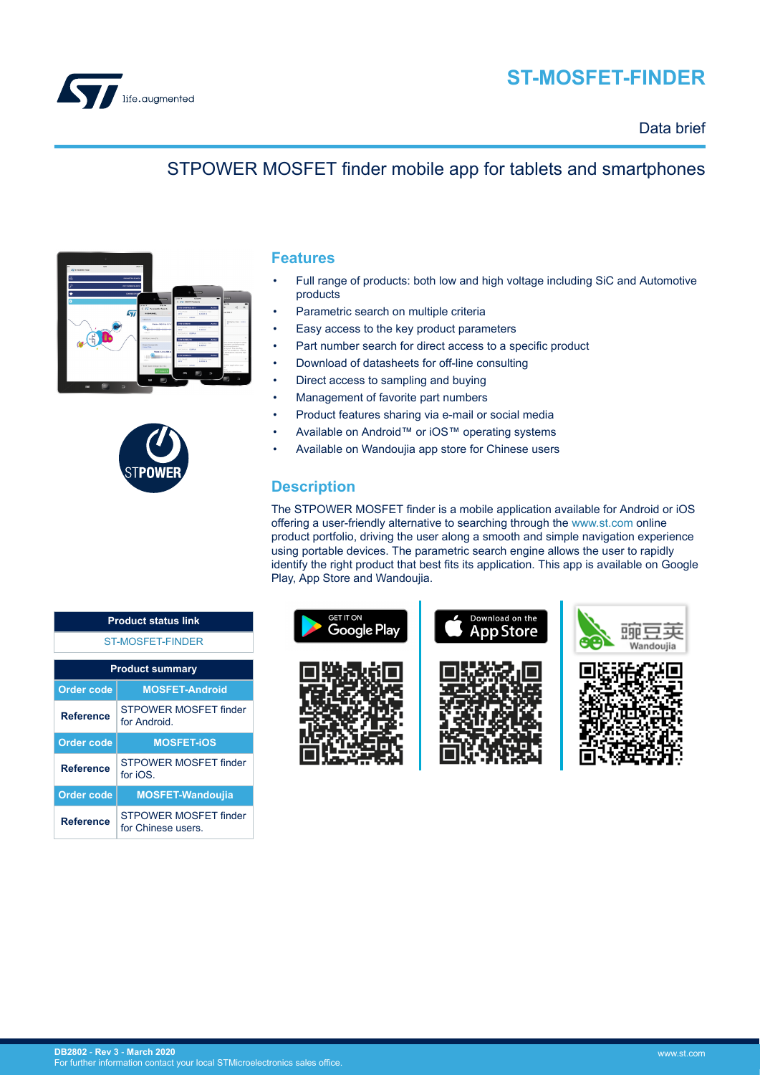

# **ST-MOSFET-FINDER**

### Data brief

## STPOWER MOSFET finder mobile app for tablets and smartphones





### **Features**

- Full range of products: both low and high voltage including SiC and Automotive products
- Parametric search on multiple criteria
- Easy access to the key product parameters
- Part number search for direct access to a specific product
- Download of datasheets for off-line consulting
- Direct access to sampling and buying
- Management of favorite part numbers
- Product features sharing via e-mail or social media
- Available on Android™ or iOS™ operating systems
- Available on Wandoujia app store for Chinese users

### **Description**

The STPOWER MOSFET finder is a mobile application available for Android or iOS offering a user-friendly alternative to searching through the [www.st.com](https://www.st.com) online product portfolio, driving the user along a smooth and simple navigation experience using portable devices. The parametric search engine allows the user to rapidly identify the right product that best fits its application. This app is available on Google Play, App Store and Wandoujia.



| <b>Product status link</b> |                                             |  |
|----------------------------|---------------------------------------------|--|
| <b>ST-MOSFET-FINDER</b>    |                                             |  |
| <b>Product summary</b>     |                                             |  |
| <b>Order code</b>          | <b>MOSFET-Android</b>                       |  |
| <b>Reference</b>           | STPOWER MOSFET finder<br>for Android        |  |
| <b>Order code</b>          | <b>MOSFET-IOS</b>                           |  |
| <b>Reference</b>           | <b>STPOWER MOSFET finder</b><br>for iOS.    |  |
| <b>Order code</b>          | <b>MOSFET-Wandoujia</b>                     |  |
| Reference                  | STPOWER MOSEET finder<br>for Chinese users. |  |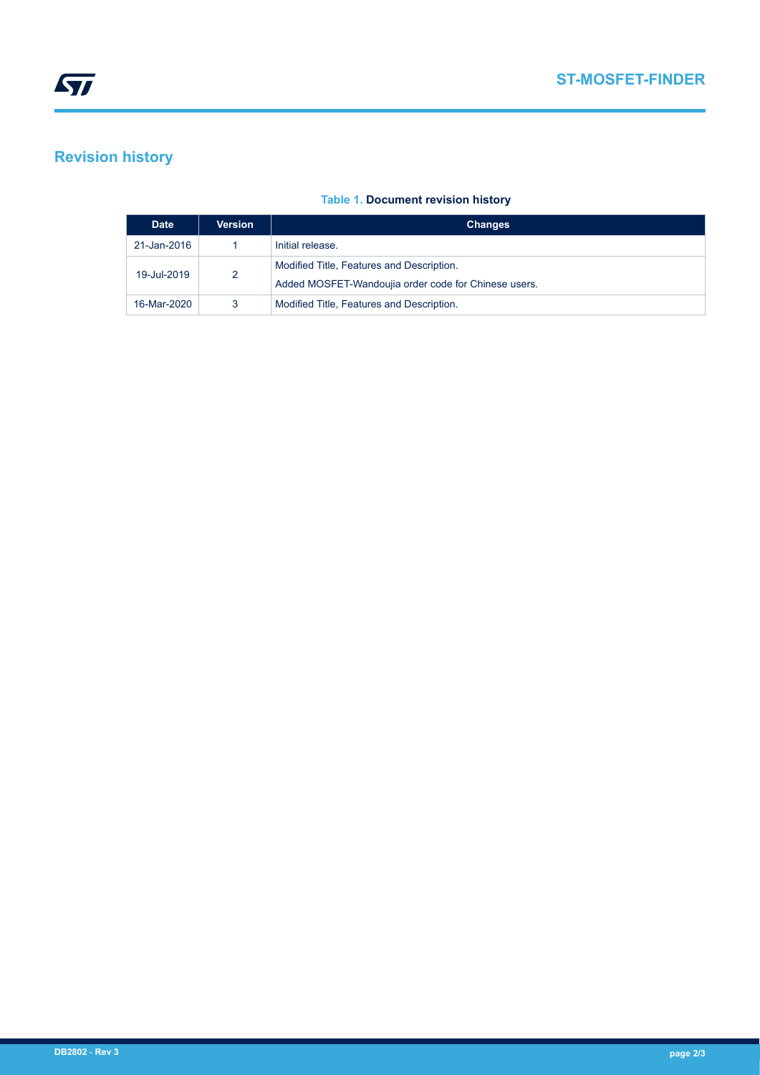## **Revision history**

#### **Table 1. Document revision history**

| <b>Date</b> | <b>Version</b> | <b>Changes</b>                                                                                    |
|-------------|----------------|---------------------------------------------------------------------------------------------------|
| 21-Jan-2016 |                | Initial release.                                                                                  |
| 19-Jul-2019 | 2              | Modified Title, Features and Description.<br>Added MOSFET-Wandoujia order code for Chinese users. |
| 16-Mar-2020 | 3              | Modified Title, Features and Description.                                                         |